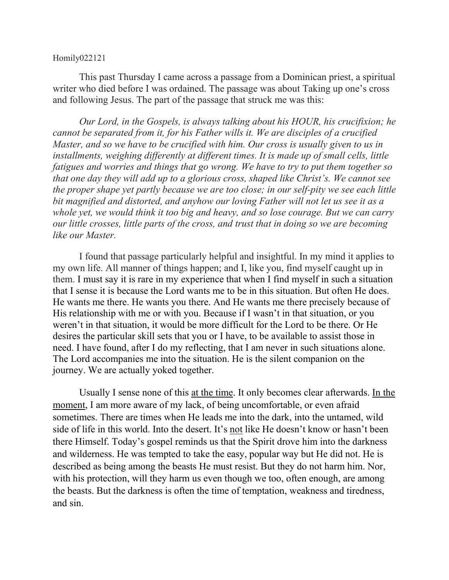## Homily022121

This past Thursday I came across a passage from a Dominican priest, a spiritual writer who died before I was ordained. The passage was about Taking up one's cross and following Jesus. The part of the passage that struck me was this:

*Our Lord, in the Gospels, is always talking about his HOUR, his crucifixion; he cannot be separated from it, for his Father wills it. We are disciples of a crucified Master, and so we have to be crucified with him. Our cross is usually given to us in installments, weighing differently at different times. It is made up of small cells, little fatigues and worries and things that go wrong. We have to try to put them together so that one day they will add up to a glorious cross, shaped like Christ's. We cannot see the proper shape yet partly because we are too close; in our self-pity we see each little bit magnified and distorted, and anyhow our loving Father will not let us see it as a whole yet, we would think it too big and heavy, and so lose courage. But we can carry our little crosses, little parts of the cross, and trust that in doing so we are becoming like our Master.*

I found that passage particularly helpful and insightful. In my mind it applies to my own life. All manner of things happen; and I, like you, find myself caught up in them. I must say it is rare in my experience that when I find myself in such a situation that I sense it is because the Lord wants me to be in this situation. But often He does. He wants me there. He wants you there. And He wants me there precisely because of His relationship with me or with you. Because if I wasn't in that situation, or you weren't in that situation, it would be more difficult for the Lord to be there. Or He desires the particular skill sets that you or I have, to be available to assist those in need. I have found, after I do my reflecting, that I am never in such situations alone. The Lord accompanies me into the situation. He is the silent companion on the journey. We are actually yoked together.

Usually I sense none of this <u>at the time</u>. It only becomes clear afterwards. In the moment, I am more aware of my lack, of being uncomfortable, or even afraid sometimes. There are times when He leads me into the dark, into the untamed, wild side of life in this world. Into the desert. It's not like He doesn't know or hasn't been there Himself. Today's gospel reminds us that the Spirit drove him into the darkness and wilderness. He was tempted to take the easy, popular way but He did not. He is described as being among the beasts He must resist. But they do not harm him. Nor, with his protection, will they harm us even though we too, often enough, are among the beasts. But the darkness is often the time of temptation, weakness and tiredness, and sin.